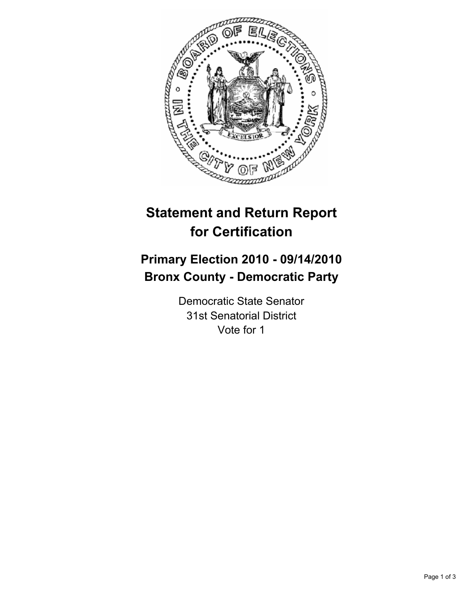

# **Statement and Return Report for Certification**

## **Primary Election 2010 - 09/14/2010 Bronx County - Democratic Party**

Democratic State Senator 31st Senatorial District Vote for 1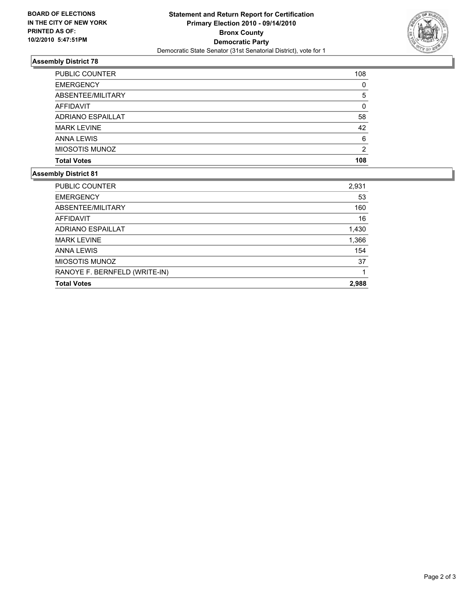

### **Assembly District 78**

| 108 |
|-----|
| 0   |
| 5   |
| 0   |
| 58  |
| 42  |
| 6   |
| 2   |
| 108 |
|     |

#### **Assembly District 81**

| <b>PUBLIC COUNTER</b>         | 2,931 |
|-------------------------------|-------|
| <b>EMERGENCY</b>              | 53    |
| ABSENTEE/MILITARY             | 160   |
| AFFIDAVIT                     | 16    |
| <b>ADRIANO ESPAILLAT</b>      | 1,430 |
| <b>MARK LEVINE</b>            | 1,366 |
| <b>ANNA LEWIS</b>             | 154   |
| <b>MIOSOTIS MUNOZ</b>         | 37    |
| RANOYE F. BERNFELD (WRITE-IN) |       |
| <b>Total Votes</b>            | 2,988 |